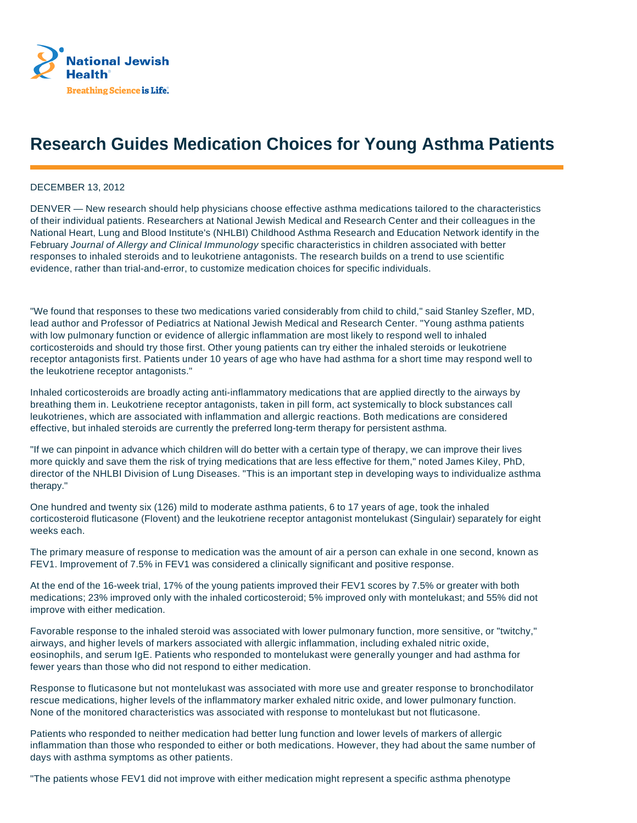

## **Research Guides Medication Choices for Young Asthma Patients**

## DECEMBER 13, 2012

DENVER — New research should help physicians choose effective asthma medications tailored to the characteristics of their individual patients. Researchers at National Jewish Medical and Research Center and their colleagues in the National Heart, Lung and Blood Institute's (NHLBI) Childhood Asthma Research and Education Network identify in the February Journal of Allergy and Clinical Immunology specific characteristics in children associated with better responses to inhaled steroids and to leukotriene antagonists. The research builds on a trend to use scientific evidence, rather than trial-and-error, to customize medication choices for specific individuals.

"We found that responses to these two medications varied considerably from child to child," said Stanley Szefler, MD, lead author and Professor of Pediatrics at National Jewish Medical and Research Center. "Young asthma patients with low pulmonary function or evidence of allergic inflammation are most likely to respond well to inhaled corticosteroids and should try those first. Other young patients can try either the inhaled steroids or leukotriene receptor antagonists first. Patients under 10 years of age who have had asthma for a short time may respond well to the leukotriene receptor antagonists."

Inhaled corticosteroids are broadly acting anti-inflammatory medications that are applied directly to the airways by breathing them in. Leukotriene receptor antagonists, taken in pill form, act systemically to block substances call leukotrienes, which are associated with inflammation and allergic reactions. Both medications are considered effective, but inhaled steroids are currently the preferred long-term therapy for persistent asthma.

"If we can pinpoint in advance which children will do better with a certain type of therapy, we can improve their lives more quickly and save them the risk of trying medications that are less effective for them," noted James Kiley, PhD, director of the NHLBI Division of Lung Diseases. "This is an important step in developing ways to individualize asthma therapy."

One hundred and twenty six (126) mild to moderate asthma patients, 6 to 17 years of age, took the inhaled corticosteroid fluticasone (Flovent) and the leukotriene receptor antagonist montelukast (Singulair) separately for eight weeks each.

The primary measure of response to medication was the amount of air a person can exhale in one second, known as FEV1. Improvement of 7.5% in FEV1 was considered a clinically significant and positive response.

At the end of the 16-week trial, 17% of the young patients improved their FEV1 scores by 7.5% or greater with both medications; 23% improved only with the inhaled corticosteroid; 5% improved only with montelukast; and 55% did not improve with either medication.

Favorable response to the inhaled steroid was associated with lower pulmonary function, more sensitive, or "twitchy," airways, and higher levels of markers associated with allergic inflammation, including exhaled nitric oxide, eosinophils, and serum IgE. Patients who responded to montelukast were generally younger and had asthma for fewer years than those who did not respond to either medication.

Response to fluticasone but not montelukast was associated with more use and greater response to bronchodilator rescue medications, higher levels of the inflammatory marker exhaled nitric oxide, and lower pulmonary function. None of the monitored characteristics was associated with response to montelukast but not fluticasone.

Patients who responded to neither medication had better lung function and lower levels of markers of allergic inflammation than those who responded to either or both medications. However, they had about the same number of days with asthma symptoms as other patients.

"The patients whose FEV1 did not improve with either medication might represent a specific asthma phenotype